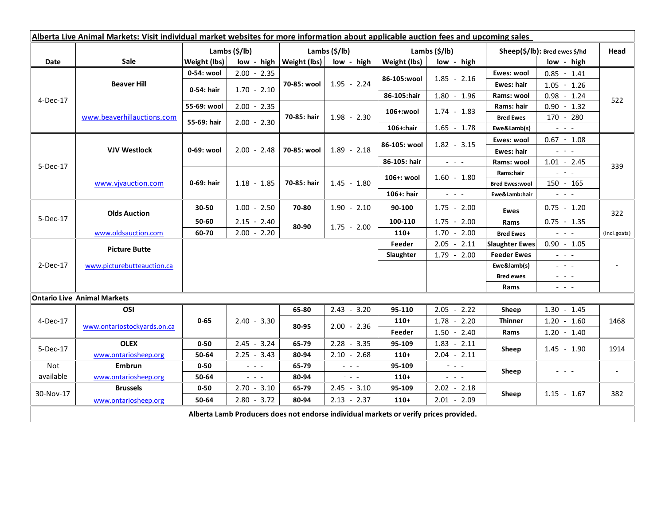| Alberta Live Animal Markets: Visit individual market websites for more information about applicable auction fees and upcoming sales |                                    |               |                      |                              |                       |                           |                                             |                               |                                                                                                                        |                          |
|-------------------------------------------------------------------------------------------------------------------------------------|------------------------------------|---------------|----------------------|------------------------------|-----------------------|---------------------------|---------------------------------------------|-------------------------------|------------------------------------------------------------------------------------------------------------------------|--------------------------|
|                                                                                                                                     |                                    | Lambs (\$/lb) |                      | Lambs $(S/lb)$               |                       | Lambs $(\frac{2}{3})$ lb) |                                             | Sheep(\$/lb): Bred ewes \$/hd |                                                                                                                        | Head                     |
| Date                                                                                                                                | <b>Sale</b>                        | Weight (lbs)  |                      | $low - high   Weight (lbs) $ | low - high            | Weight (lbs)              | low - high                                  |                               | low - high                                                                                                             |                          |
| 4-Dec-17                                                                                                                            | <b>Beaver Hill</b>                 | 0-54: wool    | $2.00 - 2.35$        | 70-85: wool                  | $1.95 - 2.24$         |                           | $1.85 - 2.16$                               | Ewes: wool                    | $0.85 - 1.41$                                                                                                          | 522                      |
|                                                                                                                                     |                                    | 0-54: hair    | $1.70 - 2.10$        |                              |                       | 86-105:wool               |                                             | <b>Ewes: hair</b>             | $1.05 - 1.26$                                                                                                          |                          |
|                                                                                                                                     |                                    |               |                      |                              |                       | 86-105:hair               | $1.80 - 1.96$                               | Rams: wool                    | $0.98 - 1.24$                                                                                                          |                          |
|                                                                                                                                     | www.beaverhillauctions.com         | 55-69: wool   | $2.00 - 2.35$        | 70-85: hair                  | $1.98 - 2.30$         | 106+:wool                 | $1.74 - 1.83$                               | Rams: hair                    | $0.90 - 1.32$                                                                                                          |                          |
|                                                                                                                                     |                                    | 55-69: hair   | $2.00 - 2.30$        |                              |                       |                           |                                             | <b>Bred Ewes</b>              | 170 - 280                                                                                                              |                          |
|                                                                                                                                     |                                    |               |                      |                              |                       | 106+:hair                 | $1.65 - 1.78$                               | Ewe&Lamb(s)                   | $\frac{1}{2} \left( \frac{1}{2} \right) \left( \frac{1}{2} \right) \left( \frac{1}{2} \right)$                         |                          |
| $5-Dec-17$                                                                                                                          | <b>VJV Westlock</b>                | 0-69: wool    |                      | 70-85: wool                  | $1.89 - 2.18$         | 86-105: wool              | $1.82 - 3.15$                               | Ewes: wool                    | $0.67 - 1.08$                                                                                                          | 339                      |
|                                                                                                                                     |                                    |               | $2.00 - 2.48$        |                              |                       |                           |                                             | <b>Ewes: hair</b>             | $2.16 \pm 1.2$                                                                                                         |                          |
|                                                                                                                                     |                                    |               |                      |                              |                       | 86-105: hair              | $\omega_{\rm{eff}}$ and $\omega_{\rm{eff}}$ | Rams: wool                    | $1.01 - 2.45$                                                                                                          |                          |
|                                                                                                                                     | www.vivauction.com                 | 0-69: hair    |                      | 70-85: hair                  | $1.45 - 1.80$         | 106+: wool                | $1.60 - 1.80$                               | Rams:hair                     | $\mathbb{L}^2 \times \mathbb{L}^2$                                                                                     |                          |
|                                                                                                                                     |                                    |               | $1.18 - 1.85$        |                              |                       |                           |                                             | <b>Bred Ewes:wool</b>         | 150 - 165                                                                                                              |                          |
|                                                                                                                                     |                                    |               |                      |                              |                       | 106+: hair                | $\omega_{\rm{eff}}$ and $\omega_{\rm{eff}}$ | Ewe&Lamb:hair                 | $\omega_{\rm{max}}$                                                                                                    |                          |
| 5-Dec-17                                                                                                                            | <b>Olds Auction</b>                | 30-50         | $1.00 - 2.50$        | 70-80                        | $1.90 - 2.10$         | 90-100                    | $1.75 - 2.00$                               | <b>Ewes</b>                   | $0.75 - 1.20$                                                                                                          | 322                      |
|                                                                                                                                     |                                    | 50-60         | $2.15 - 2.40$        | 80-90                        | $1.75 - 2.00$         | 100-110                   | $1.75 - 2.00$                               | Rams                          | $0.75 - 1.35$                                                                                                          |                          |
|                                                                                                                                     | www.oldsauction.com                | 60-70         | $2.00 - 2.20$        |                              |                       | $110+$                    | $1.70 - 2.00$                               | <b>Bred Ewes</b>              | $\mathbb{Z}^2$ and $\mathbb{Z}^2$                                                                                      | (incl.goats)             |
| 2-Dec-17                                                                                                                            | <b>Picture Butte</b>               |               |                      |                              |                       | Feeder                    | $2.05 - 2.11$                               | <b>Slaughter Ewes</b>         | $0.90 - 1.05$                                                                                                          |                          |
|                                                                                                                                     | www.picturebutteauction.ca         |               |                      |                              |                       | Slaughter                 | $1.79 - 2.00$                               | <b>Feeder Ewes</b>            | $\omega_{\rm{eff}}$ and $\omega_{\rm{eff}}$                                                                            |                          |
|                                                                                                                                     |                                    |               |                      |                              |                       |                           |                                             | Ewe&lamb(s)                   | $\mathbb{L}^2 \times \mathbb{L}^2$                                                                                     |                          |
|                                                                                                                                     |                                    |               |                      |                              |                       |                           |                                             | <b>Bred ewes</b>              | $\frac{1}{2} \left( \frac{1}{2} \right) = \frac{1}{2} \left( \frac{1}{2} \right)$                                      |                          |
|                                                                                                                                     |                                    |               |                      |                              |                       |                           |                                             | Rams                          | $\frac{1}{2} \left( \frac{1}{2} \right) \frac{1}{2} \left( \frac{1}{2} \right) \frac{1}{2} \left( \frac{1}{2} \right)$ |                          |
|                                                                                                                                     | <b>Ontario Live Animal Markets</b> |               |                      |                              |                       |                           |                                             |                               |                                                                                                                        |                          |
| 4-Dec-17                                                                                                                            | OSI                                | $0 - 65$      |                      | 65-80                        | $2.43 - 3.20$         | 95-110                    | $2.05 - 2.22$                               | Sheep                         | $1.30 - 1.45$                                                                                                          |                          |
|                                                                                                                                     | www.ontariostockyards.on.ca        |               | $2.40 - 3.30$        | 80-95                        | $2.00 - 2.36$         | $110+$                    | $1.78 - 2.20$                               | <b>Thinner</b>                | $1.20 - 1.60$<br>$1.20 - 1.40$                                                                                         | 1468                     |
|                                                                                                                                     |                                    |               |                      |                              |                       | Feeder                    | $1.50 - 2.40$                               | Rams                          |                                                                                                                        |                          |
| 5-Dec-17                                                                                                                            | <b>OLEX</b>                        | $0 - 50$      | $2.45 - 3.24$        | 65-79                        | $2.28 - 3.35$         | 95-109                    | $1.83 - 2.11$                               | Sheep                         | $1.45 - 1.90$                                                                                                          | 1914                     |
|                                                                                                                                     | www.ontariosheep.org               | 50-64         | $2.25 - 3.43$        | 80-94                        | $2.10 - 2.68$         | $110+$                    | $2.04 - 2.11$                               |                               |                                                                                                                        |                          |
| Not                                                                                                                                 | Embrun                             | $0 - 50$      | $\sim$ $\sim$ $\sim$ | 65-79                        | $\omega_{\rm{max}}$   | 95-109                    | $\omega_{\rm{max}}$                         | Sheep                         | $  -$                                                                                                                  | $\overline{\phantom{a}}$ |
| available                                                                                                                           | www.ontariosheep.org               | 50-64         | $\sim$ $\sim$ $\sim$ | 80-94                        | $\sim 100$ km $^{-1}$ | $110+$                    | $\omega_{\rm{max}}$ and $\omega_{\rm{max}}$ |                               |                                                                                                                        |                          |
| 30-Nov-17                                                                                                                           | <b>Brussels</b>                    | $0 - 50$      | $2.70 - 3.10$        | 65-79                        | $2.45 - 3.10$         | 95-109                    | $2.02 - 2.18$                               | Sheep                         | $1.15 - 1.67$                                                                                                          | 382                      |
|                                                                                                                                     | www.ontariosheep.org               | 50-64         | $2.80 - 3.72$        | 80-94                        | $2.13 - 2.37$         | $110+$                    | $2.01 - 2.09$                               |                               |                                                                                                                        |                          |
| Alberta Lamb Producers does not endorse individual markets or verify prices provided.                                               |                                    |               |                      |                              |                       |                           |                                             |                               |                                                                                                                        |                          |